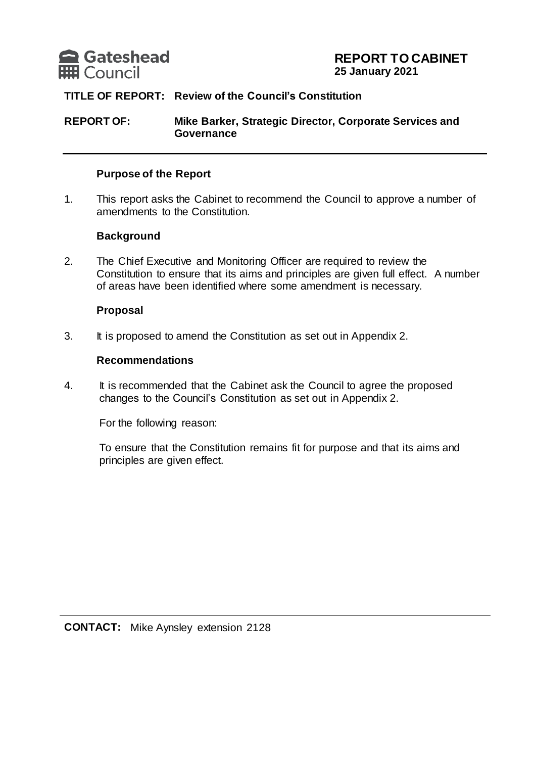

# **REPORT TO CABINET 25 January 2021**

## **TITLE OF REPORT: Review of the Council's Constitution**

**REPORT OF: Mike Barker, Strategic Director, Corporate Services and Governance**

#### **Purpose of the Report**

1. This report asks the Cabinet to recommend the Council to approve a number of amendments to the Constitution.

### **Background**

2. The Chief Executive and Monitoring Officer are required to review the Constitution to ensure that its aims and principles are given full effect. A number of areas have been identified where some amendment is necessary.

#### **Proposal**

3. It is proposed to amend the Constitution as set out in Appendix 2.

### **Recommendations**

4. It is recommended that the Cabinet ask the Council to agree the proposed changes to the Council's Constitution as set out in Appendix 2.

For the following reason:

To ensure that the Constitution remains fit for purpose and that its aims and principles are given effect.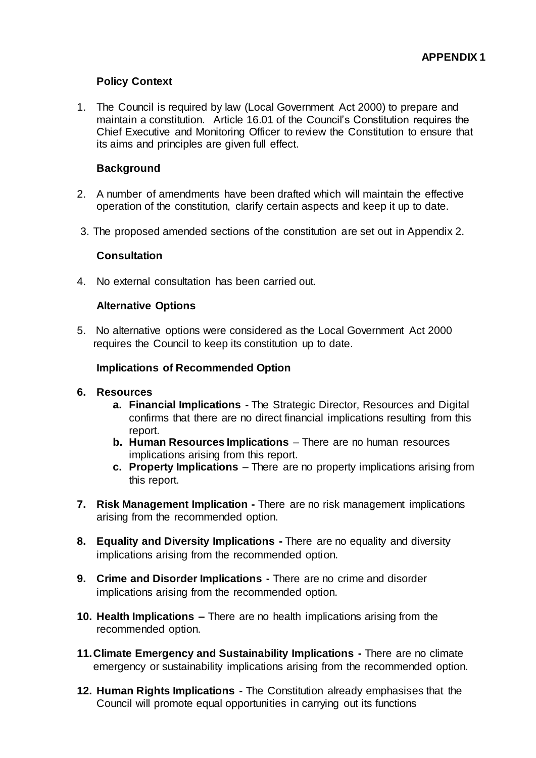## **Policy Context**

1. The Council is required by law (Local Government Act 2000) to prepare and maintain a constitution. Article 16.01 of the Council's Constitution requires the Chief Executive and Monitoring Officer to review the Constitution to ensure that its aims and principles are given full effect.

## **Background**

- 2. A number of amendments have been drafted which will maintain the effective operation of the constitution, clarify certain aspects and keep it up to date.
- 3. The proposed amended sections of the constitution are set out in Appendix 2.

### **Consultation**

4. No external consultation has been carried out.

### **Alternative Options**

5. No alternative options were considered as the Local Government Act 2000 requires the Council to keep its constitution up to date.

### **Implications of Recommended Option**

### **6. Resources**

- **a. Financial Implications -** The Strategic Director, Resources and Digital confirms that there are no direct financial implications resulting from this report.
- **b. Human Resources Implications** There are no human resources implications arising from this report.
- **c. Property Implications** There are no property implications arising from this report.
- **7. Risk Management Implication -** There are no risk management implications arising from the recommended option.
- **8. Equality and Diversity Implications -** There are no equality and diversity implications arising from the recommended option.
- **9. Crime and Disorder Implications -** There are no crime and disorder implications arising from the recommended option.
- **10. Health Implications –** There are no health implications arising from the recommended option.
- **11.Climate Emergency and Sustainability Implications -** There are no climate emergency or sustainability implications arising from the recommended option.
- **12. Human Rights Implications -** The Constitution already emphasises that the Council will promote equal opportunities in carrying out its functions